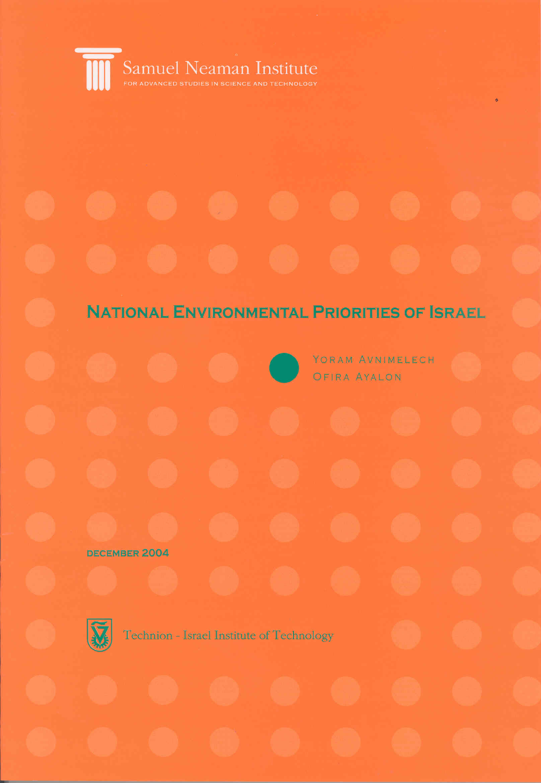

## **NATIONAL ENVIRONMENTAL PRIORITIES OF ISRAEL**

YORAM AVNIMELECH

OFIRA AYALON

**DECEMBER 2004** 



Technion - Israel Institute of Technology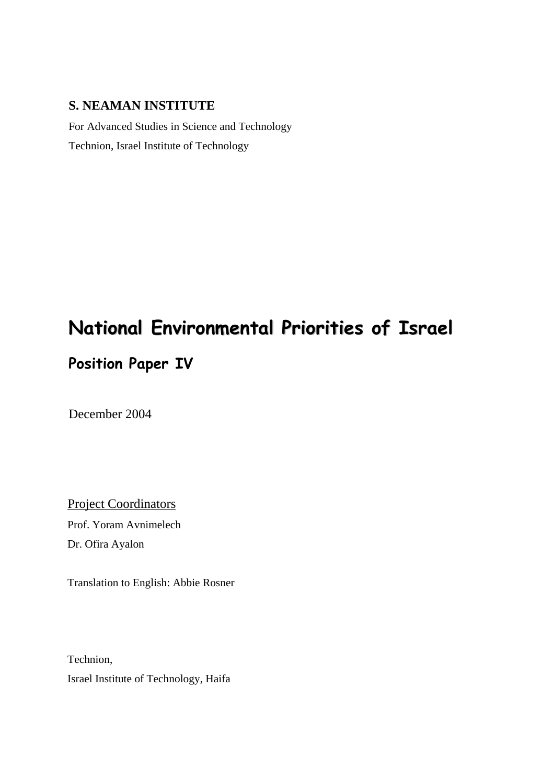#### **S. NEAMAN INSTITUTE**

For Advanced Studies in Science and Technology Technion, Israel Institute of Technology

## **National Environmental Priorities of Israel**

## **Position Paper IV**

December 2004

Project Coordinators Prof. Yoram Avnimelech Dr. Ofira Ayalon

Translation to English: Abbie Rosner

Technion, Israel Institute of Technology, Haifa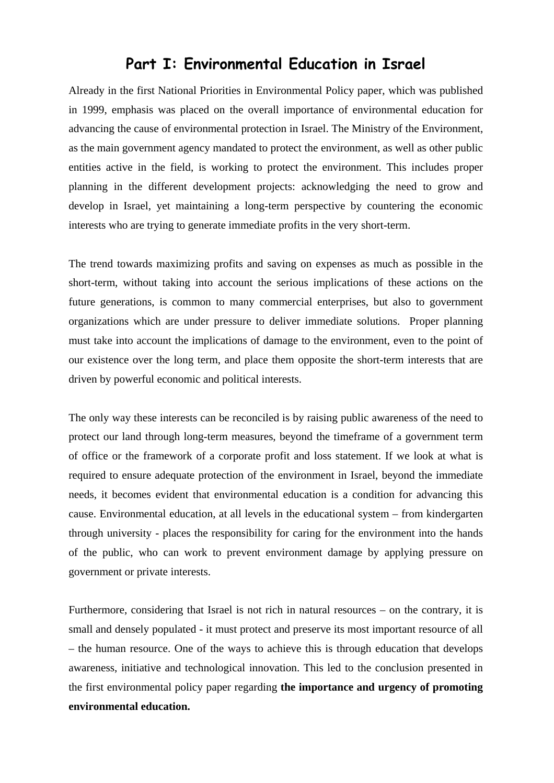### **Part I: Environmental Education in Israel**

Already in the first National Priorities in Environmental Policy paper, which was published in 1999, emphasis was placed on the overall importance of environmental education for advancing the cause of environmental protection in Israel. The Ministry of the Environment, as the main government agency mandated to protect the environment, as well as other public entities active in the field, is working to protect the environment. This includes proper planning in the different development projects: acknowledging the need to grow and develop in Israel, yet maintaining a long-term perspective by countering the economic interests who are trying to generate immediate profits in the very short-term.

The trend towards maximizing profits and saving on expenses as much as possible in the short-term, without taking into account the serious implications of these actions on the future generations, is common to many commercial enterprises, but also to government organizations which are under pressure to deliver immediate solutions. Proper planning must take into account the implications of damage to the environment, even to the point of our existence over the long term, and place them opposite the short-term interests that are driven by powerful economic and political interests.

The only way these interests can be reconciled is by raising public awareness of the need to protect our land through long-term measures, beyond the timeframe of a government term of office or the framework of a corporate profit and loss statement. If we look at what is required to ensure adequate protection of the environment in Israel, beyond the immediate needs, it becomes evident that environmental education is a condition for advancing this cause. Environmental education, at all levels in the educational system – from kindergarten through university - places the responsibility for caring for the environment into the hands of the public, who can work to prevent environment damage by applying pressure on government or private interests.

Furthermore, considering that Israel is not rich in natural resources – on the contrary, it is small and densely populated - it must protect and preserve its most important resource of all – the human resource. One of the ways to achieve this is through education that develops awareness, initiative and technological innovation. This led to the conclusion presented in the first environmental policy paper regarding **the importance and urgency of promoting environmental education.**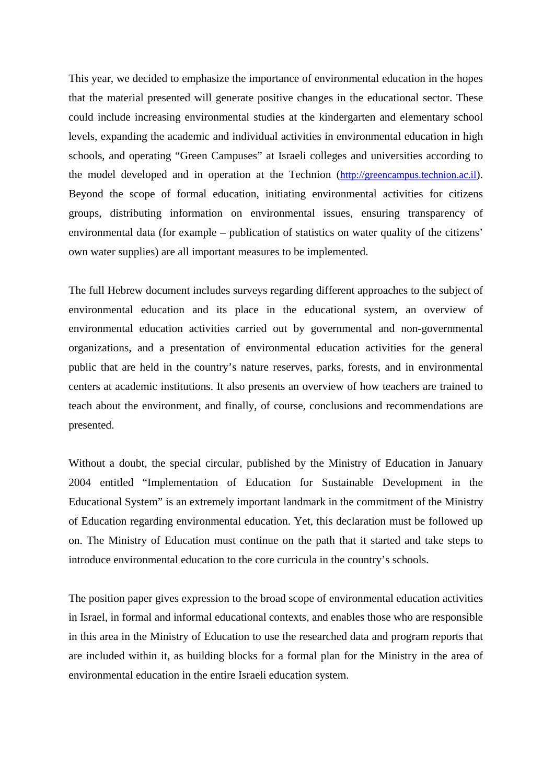This year, we decided to emphasize the importance of environmental education in the hopes that the material presented will generate positive changes in the educational sector. These could include increasing environmental studies at the kindergarten and elementary school levels, expanding the academic and individual activities in environmental education in high schools, and operating "Green Campuses" at Israeli colleges and universities according to the model developed and in operation at the Technion (http://greencampus.technion.ac.il). Beyond the scope of formal education, initiating environmental activities for citizens groups, distributing information on environmental issues, ensuring transparency of environmental data (for example – publication of statistics on water quality of the citizens' own water supplies) are all important measures to be implemented.

The full Hebrew document includes surveys regarding different approaches to the subject of environmental education and its place in the educational system, an overview of environmental education activities carried out by governmental and non-governmental organizations, and a presentation of environmental education activities for the general public that are held in the country's nature reserves, parks, forests, and in environmental centers at academic institutions. It also presents an overview of how teachers are trained to teach about the environment, and finally, of course, conclusions and recommendations are presented.

Without a doubt, the special circular, published by the Ministry of Education in January 2004 entitled "Implementation of Education for Sustainable Development in the Educational System" is an extremely important landmark in the commitment of the Ministry of Education regarding environmental education. Yet, this declaration must be followed up on. The Ministry of Education must continue on the path that it started and take steps to introduce environmental education to the core curricula in the country's schools.

The position paper gives expression to the broad scope of environmental education activities in Israel, in formal and informal educational contexts, and enables those who are responsible in this area in the Ministry of Education to use the researched data and program reports that are included within it, as building blocks for a formal plan for the Ministry in the area of environmental education in the entire Israeli education system.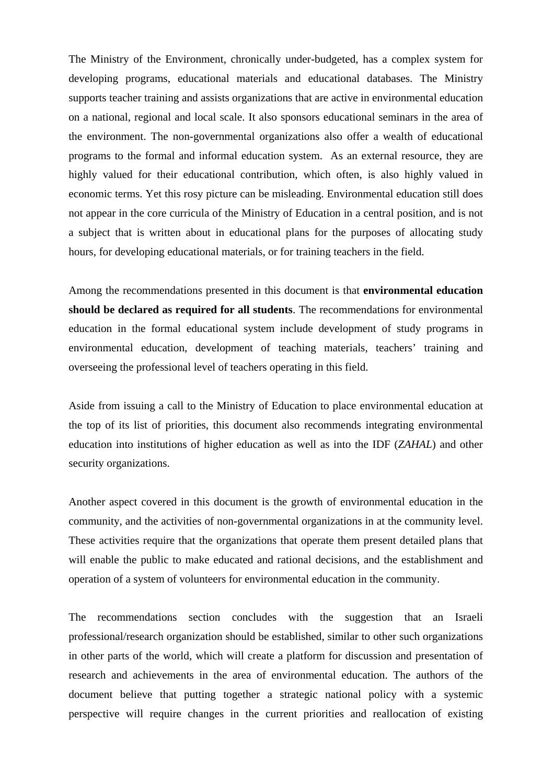The Ministry of the Environment, chronically under-budgeted, has a complex system for developing programs, educational materials and educational databases. The Ministry supports teacher training and assists organizations that are active in environmental education on a national, regional and local scale. It also sponsors educational seminars in the area of the environment. The non-governmental organizations also offer a wealth of educational programs to the formal and informal education system. As an external resource, they are highly valued for their educational contribution, which often, is also highly valued in economic terms. Yet this rosy picture can be misleading. Environmental education still does not appear in the core curricula of the Ministry of Education in a central position, and is not a subject that is written about in educational plans for the purposes of allocating study hours, for developing educational materials, or for training teachers in the field.

Among the recommendations presented in this document is that **environmental education should be declared as required for all students**. The recommendations for environmental education in the formal educational system include development of study programs in environmental education, development of teaching materials, teachers' training and overseeing the professional level of teachers operating in this field.

Aside from issuing a call to the Ministry of Education to place environmental education at the top of its list of priorities, this document also recommends integrating environmental education into institutions of higher education as well as into the IDF (*ZAHAL*) and other security organizations.

Another aspect covered in this document is the growth of environmental education in the community, and the activities of non-governmental organizations in at the community level. These activities require that the organizations that operate them present detailed plans that will enable the public to make educated and rational decisions, and the establishment and operation of a system of volunteers for environmental education in the community.

The recommendations section concludes with the suggestion that an Israeli professional/research organization should be established, similar to other such organizations in other parts of the world, which will create a platform for discussion and presentation of research and achievements in the area of environmental education. The authors of the document believe that putting together a strategic national policy with a systemic perspective will require changes in the current priorities and reallocation of existing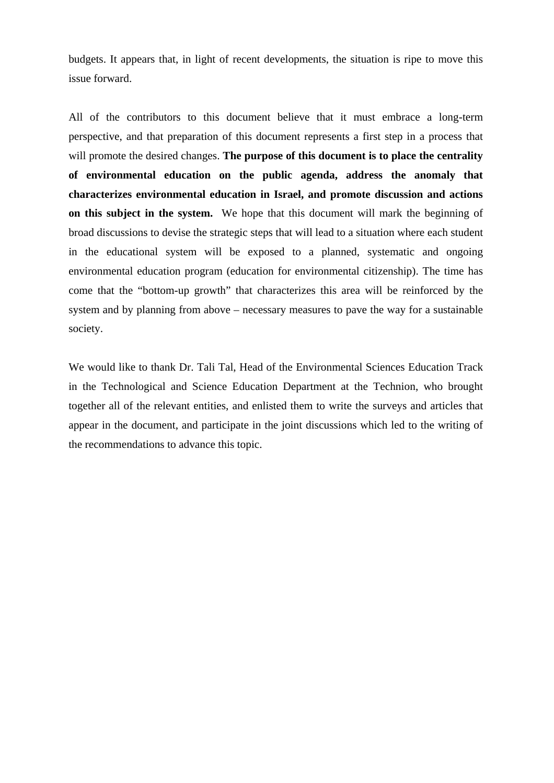budgets. It appears that, in light of recent developments, the situation is ripe to move this issue forward.

All of the contributors to this document believe that it must embrace a long-term perspective, and that preparation of this document represents a first step in a process that will promote the desired changes. **The purpose of this document is to place the centrality of environmental education on the public agenda, address the anomaly that characterizes environmental education in Israel, and promote discussion and actions on this subject in the system.** We hope that this document will mark the beginning of broad discussions to devise the strategic steps that will lead to a situation where each student in the educational system will be exposed to a planned, systematic and ongoing environmental education program (education for environmental citizenship). The time has come that the "bottom-up growth" that characterizes this area will be reinforced by the system and by planning from above – necessary measures to pave the way for a sustainable society.

We would like to thank Dr. Tali Tal, Head of the Environmental Sciences Education Track in the Technological and Science Education Department at the Technion, who brought together all of the relevant entities, and enlisted them to write the surveys and articles that appear in the document, and participate in the joint discussions which led to the writing of the recommendations to advance this topic.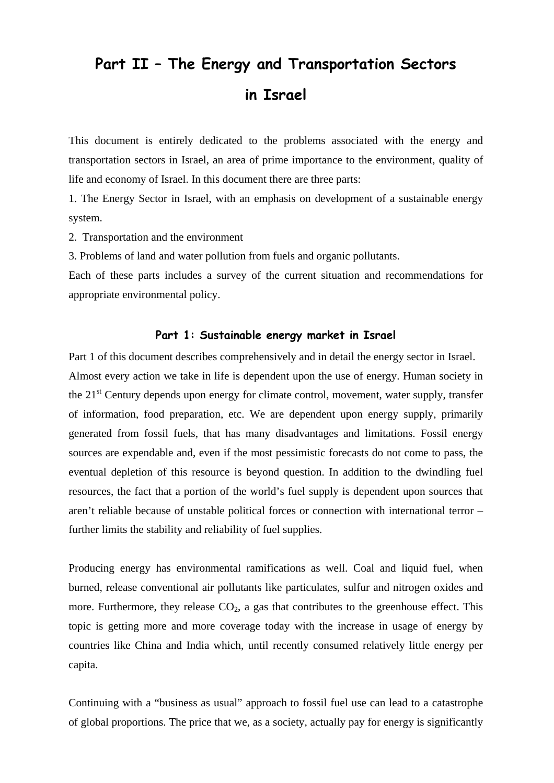## **Part II – The Energy and Transportation Sectors in Israel**

This document is entirely dedicated to the problems associated with the energy and transportation sectors in Israel, an area of prime importance to the environment, quality of life and economy of Israel. In this document there are three parts:

1. The Energy Sector in Israel, with an emphasis on development of a sustainable energy system.

2. Transportation and the environment

3. Problems of land and water pollution from fuels and organic pollutants.

Each of these parts includes a survey of the current situation and recommendations for appropriate environmental policy.

#### **Part 1: Sustainable energy market in Israel**

Part 1 of this document describes comprehensively and in detail the energy sector in Israel. Almost every action we take in life is dependent upon the use of energy. Human society in the  $21<sup>st</sup>$  Century depends upon energy for climate control, movement, water supply, transfer of information, food preparation, etc. We are dependent upon energy supply, primarily generated from fossil fuels, that has many disadvantages and limitations. Fossil energy sources are expendable and, even if the most pessimistic forecasts do not come to pass, the eventual depletion of this resource is beyond question. In addition to the dwindling fuel resources, the fact that a portion of the world's fuel supply is dependent upon sources that aren't reliable because of unstable political forces or connection with international terror – further limits the stability and reliability of fuel supplies.

Producing energy has environmental ramifications as well. Coal and liquid fuel, when burned, release conventional air pollutants like particulates, sulfur and nitrogen oxides and more. Furthermore, they release  $CO<sub>2</sub>$ , a gas that contributes to the greenhouse effect. This topic is getting more and more coverage today with the increase in usage of energy by countries like China and India which, until recently consumed relatively little energy per capita.

Continuing with a "business as usual" approach to fossil fuel use can lead to a catastrophe of global proportions. The price that we, as a society, actually pay for energy is significantly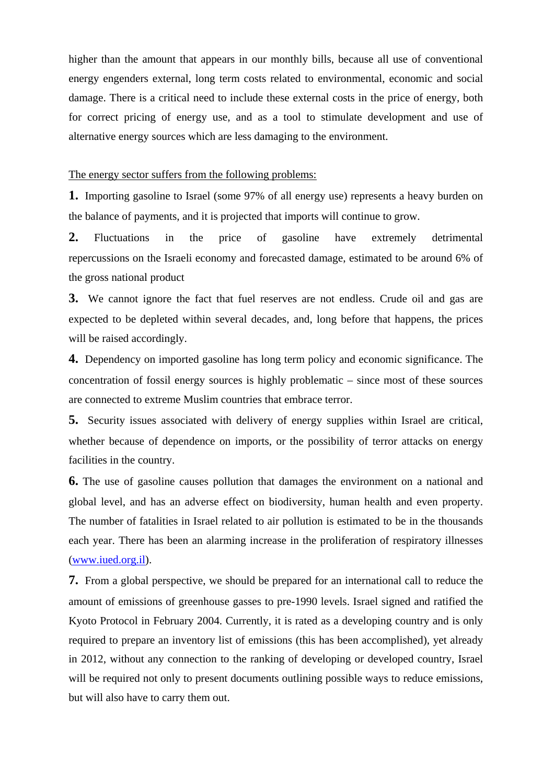higher than the amount that appears in our monthly bills, because all use of conventional energy engenders external, long term costs related to environmental, economic and social damage. There is a critical need to include these external costs in the price of energy, both for correct pricing of energy use, and as a tool to stimulate development and use of alternative energy sources which are less damaging to the environment.

The energy sector suffers from the following problems:

**1.** Importing gasoline to Israel (some 97% of all energy use) represents a heavy burden on the balance of payments, and it is projected that imports will continue to grow.

**2.** Fluctuations in the price of gasoline have extremely detrimental repercussions on the Israeli economy and forecasted damage, estimated to be around 6% of the gross national product

**3.** We cannot ignore the fact that fuel reserves are not endless. Crude oil and gas are expected to be depleted within several decades, and, long before that happens, the prices will be raised accordingly.

**4.** Dependency on imported gasoline has long term policy and economic significance. The concentration of fossil energy sources is highly problematic – since most of these sources are connected to extreme Muslim countries that embrace terror.

**5.** Security issues associated with delivery of energy supplies within Israel are critical, whether because of dependence on imports, or the possibility of terror attacks on energy facilities in the country.

**6.** The use of gasoline causes pollution that damages the environment on a national and global level, and has an adverse effect on biodiversity, human health and even property. The number of fatalities in Israel related to air pollution is estimated to be in the thousands each year. There has been an alarming increase in the proliferation of respiratory illnesses (www.iued.org.il).

**7.** From a global perspective, we should be prepared for an international call to reduce the amount of emissions of greenhouse gasses to pre-1990 levels. Israel signed and ratified the Kyoto Protocol in February 2004. Currently, it is rated as a developing country and is only required to prepare an inventory list of emissions (this has been accomplished), yet already in 2012, without any connection to the ranking of developing or developed country, Israel will be required not only to present documents outlining possible ways to reduce emissions, but will also have to carry them out.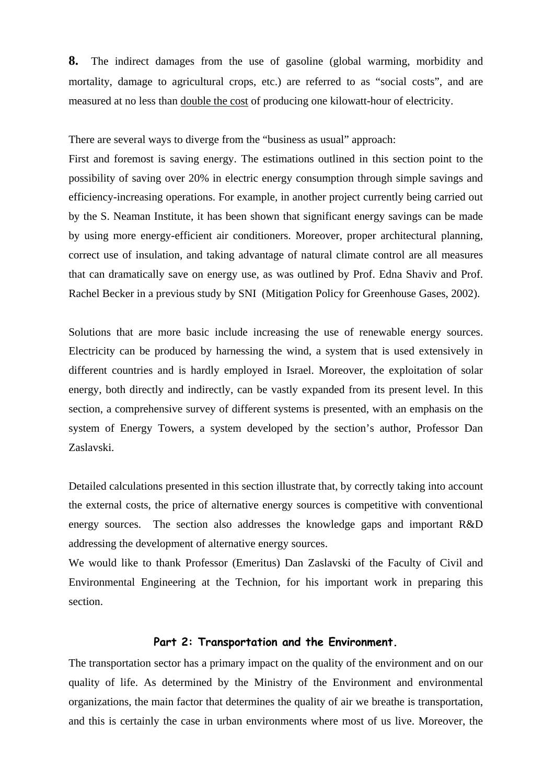**8.** The indirect damages from the use of gasoline (global warming, morbidity and mortality, damage to agricultural crops, etc.) are referred to as "social costs", and are measured at no less than double the cost of producing one kilowatt-hour of electricity.

There are several ways to diverge from the "business as usual" approach:

First and foremost is saving energy. The estimations outlined in this section point to the possibility of saving over 20% in electric energy consumption through simple savings and efficiency-increasing operations. For example, in another project currently being carried out by the S. Neaman Institute, it has been shown that significant energy savings can be made by using more energy-efficient air conditioners. Moreover, proper architectural planning, correct use of insulation, and taking advantage of natural climate control are all measures that can dramatically save on energy use, as was outlined by Prof. Edna Shaviv and Prof. Rachel Becker in a previous study by SNI (Mitigation Policy for Greenhouse Gases, 2002).

Solutions that are more basic include increasing the use of renewable energy sources. Electricity can be produced by harnessing the wind, a system that is used extensively in different countries and is hardly employed in Israel. Moreover, the exploitation of solar energy, both directly and indirectly, can be vastly expanded from its present level. In this section, a comprehensive survey of different systems is presented, with an emphasis on the system of Energy Towers, a system developed by the section's author, Professor Dan Zaslavski.

Detailed calculations presented in this section illustrate that, by correctly taking into account the external costs, the price of alternative energy sources is competitive with conventional energy sources. The section also addresses the knowledge gaps and important R&D addressing the development of alternative energy sources.

We would like to thank Professor (Emeritus) Dan Zaslavski of the Faculty of Civil and Environmental Engineering at the Technion, for his important work in preparing this section.

#### **Part 2: Transportation and the Environment.**

The transportation sector has a primary impact on the quality of the environment and on our quality of life. As determined by the Ministry of the Environment and environmental organizations, the main factor that determines the quality of air we breathe is transportation, and this is certainly the case in urban environments where most of us live. Moreover, the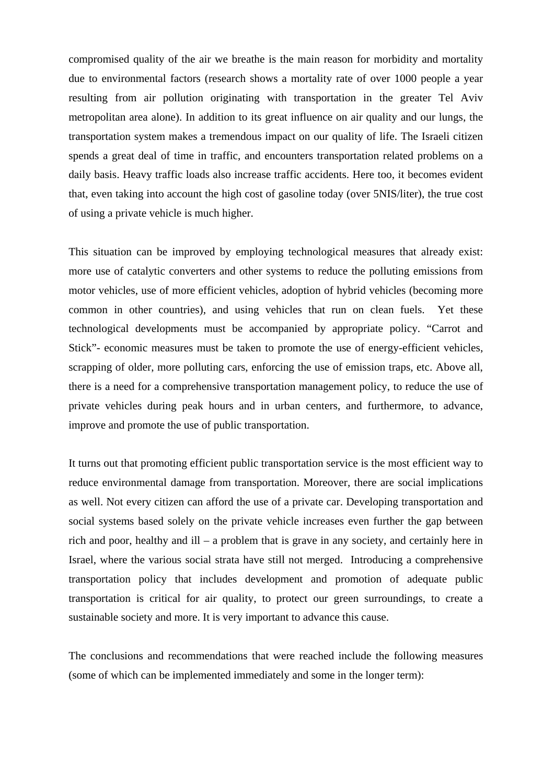compromised quality of the air we breathe is the main reason for morbidity and mortality due to environmental factors (research shows a mortality rate of over 1000 people a year resulting from air pollution originating with transportation in the greater Tel Aviv metropolitan area alone). In addition to its great influence on air quality and our lungs, the transportation system makes a tremendous impact on our quality of life. The Israeli citizen spends a great deal of time in traffic, and encounters transportation related problems on a daily basis. Heavy traffic loads also increase traffic accidents. Here too, it becomes evident that, even taking into account the high cost of gasoline today (over 5NIS/liter), the true cost of using a private vehicle is much higher.

This situation can be improved by employing technological measures that already exist: more use of catalytic converters and other systems to reduce the polluting emissions from motor vehicles, use of more efficient vehicles, adoption of hybrid vehicles (becoming more common in other countries), and using vehicles that run on clean fuels. Yet these technological developments must be accompanied by appropriate policy. "Carrot and Stick"- economic measures must be taken to promote the use of energy-efficient vehicles, scrapping of older, more polluting cars, enforcing the use of emission traps, etc. Above all, there is a need for a comprehensive transportation management policy, to reduce the use of private vehicles during peak hours and in urban centers, and furthermore, to advance, improve and promote the use of public transportation.

It turns out that promoting efficient public transportation service is the most efficient way to reduce environmental damage from transportation. Moreover, there are social implications as well. Not every citizen can afford the use of a private car. Developing transportation and social systems based solely on the private vehicle increases even further the gap between rich and poor, healthy and ill – a problem that is grave in any society, and certainly here in Israel, where the various social strata have still not merged. Introducing a comprehensive transportation policy that includes development and promotion of adequate public transportation is critical for air quality, to protect our green surroundings, to create a sustainable society and more. It is very important to advance this cause.

The conclusions and recommendations that were reached include the following measures (some of which can be implemented immediately and some in the longer term):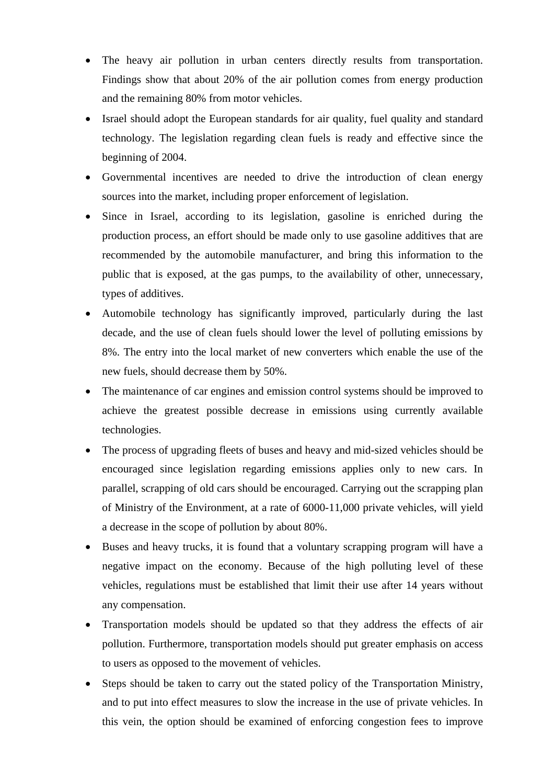- The heavy air pollution in urban centers directly results from transportation. Findings show that about 20% of the air pollution comes from energy production and the remaining 80% from motor vehicles.
- Israel should adopt the European standards for air quality, fuel quality and standard technology. The legislation regarding clean fuels is ready and effective since the beginning of 2004.
- Governmental incentives are needed to drive the introduction of clean energy sources into the market, including proper enforcement of legislation.
- Since in Israel, according to its legislation, gasoline is enriched during the production process, an effort should be made only to use gasoline additives that are recommended by the automobile manufacturer, and bring this information to the public that is exposed, at the gas pumps, to the availability of other, unnecessary, types of additives.
- Automobile technology has significantly improved, particularly during the last decade, and the use of clean fuels should lower the level of polluting emissions by 8%. The entry into the local market of new converters which enable the use of the new fuels, should decrease them by 50%.
- The maintenance of car engines and emission control systems should be improved to achieve the greatest possible decrease in emissions using currently available technologies.
- The process of upgrading fleets of buses and heavy and mid-sized vehicles should be encouraged since legislation regarding emissions applies only to new cars. In parallel, scrapping of old cars should be encouraged. Carrying out the scrapping plan of Ministry of the Environment, at a rate of 6000-11,000 private vehicles, will yield a decrease in the scope of pollution by about 80%.
- Buses and heavy trucks, it is found that a voluntary scrapping program will have a negative impact on the economy. Because of the high polluting level of these vehicles, regulations must be established that limit their use after 14 years without any compensation.
- Transportation models should be updated so that they address the effects of air pollution. Furthermore, transportation models should put greater emphasis on access to users as opposed to the movement of vehicles.
- Steps should be taken to carry out the stated policy of the Transportation Ministry, and to put into effect measures to slow the increase in the use of private vehicles. In this vein, the option should be examined of enforcing congestion fees to improve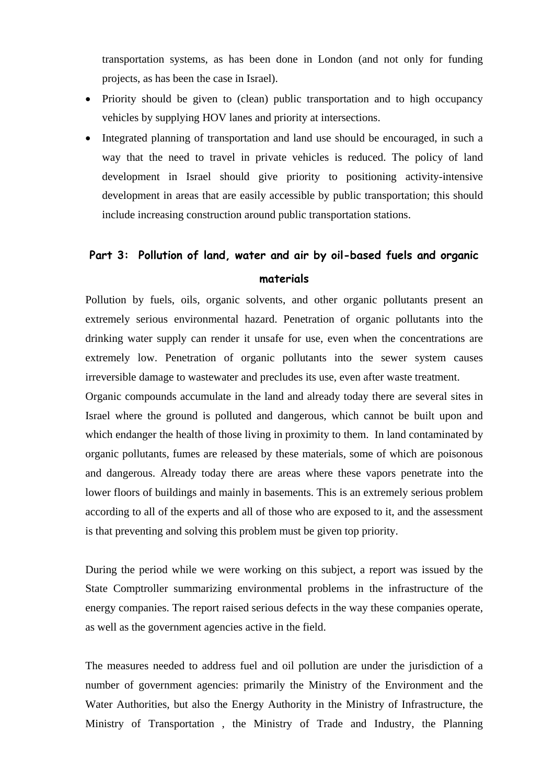transportation systems, as has been done in London (and not only for funding projects, as has been the case in Israel).

- Priority should be given to (clean) public transportation and to high occupancy vehicles by supplying HOV lanes and priority at intersections.
- Integrated planning of transportation and land use should be encouraged, in such a way that the need to travel in private vehicles is reduced. The policy of land development in Israel should give priority to positioning activity-intensive development in areas that are easily accessible by public transportation; this should include increasing construction around public transportation stations.

## **Part 3: Pollution of land, water and air by oil-based fuels and organic materials**

Pollution by fuels, oils, organic solvents, and other organic pollutants present an extremely serious environmental hazard. Penetration of organic pollutants into the drinking water supply can render it unsafe for use, even when the concentrations are extremely low. Penetration of organic pollutants into the sewer system causes irreversible damage to wastewater and precludes its use, even after waste treatment.

Organic compounds accumulate in the land and already today there are several sites in Israel where the ground is polluted and dangerous, which cannot be built upon and which endanger the health of those living in proximity to them. In land contaminated by organic pollutants, fumes are released by these materials, some of which are poisonous and dangerous. Already today there are areas where these vapors penetrate into the lower floors of buildings and mainly in basements. This is an extremely serious problem according to all of the experts and all of those who are exposed to it, and the assessment is that preventing and solving this problem must be given top priority.

During the period while we were working on this subject, a report was issued by the State Comptroller summarizing environmental problems in the infrastructure of the energy companies. The report raised serious defects in the way these companies operate, as well as the government agencies active in the field.

The measures needed to address fuel and oil pollution are under the jurisdiction of a number of government agencies: primarily the Ministry of the Environment and the Water Authorities, but also the Energy Authority in the Ministry of Infrastructure, the Ministry of Transportation , the Ministry of Trade and Industry, the Planning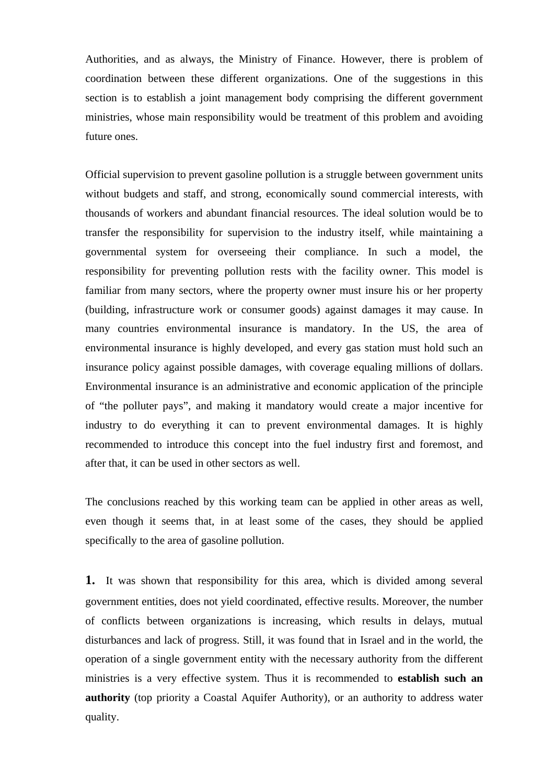Authorities, and as always, the Ministry of Finance. However, there is problem of coordination between these different organizations. One of the suggestions in this section is to establish a joint management body comprising the different government ministries, whose main responsibility would be treatment of this problem and avoiding future ones.

Official supervision to prevent gasoline pollution is a struggle between government units without budgets and staff, and strong, economically sound commercial interests, with thousands of workers and abundant financial resources. The ideal solution would be to transfer the responsibility for supervision to the industry itself, while maintaining a governmental system for overseeing their compliance. In such a model, the responsibility for preventing pollution rests with the facility owner. This model is familiar from many sectors, where the property owner must insure his or her property (building, infrastructure work or consumer goods) against damages it may cause. In many countries environmental insurance is mandatory. In the US, the area of environmental insurance is highly developed, and every gas station must hold such an insurance policy against possible damages, with coverage equaling millions of dollars. Environmental insurance is an administrative and economic application of the principle of "the polluter pays", and making it mandatory would create a major incentive for industry to do everything it can to prevent environmental damages. It is highly recommended to introduce this concept into the fuel industry first and foremost, and after that, it can be used in other sectors as well.

The conclusions reached by this working team can be applied in other areas as well, even though it seems that, in at least some of the cases, they should be applied specifically to the area of gasoline pollution.

**1.** It was shown that responsibility for this area, which is divided among several government entities, does not yield coordinated, effective results. Moreover, the number of conflicts between organizations is increasing, which results in delays, mutual disturbances and lack of progress. Still, it was found that in Israel and in the world, the operation of a single government entity with the necessary authority from the different ministries is a very effective system. Thus it is recommended to **establish such an authority** (top priority a Coastal Aquifer Authority), or an authority to address water quality.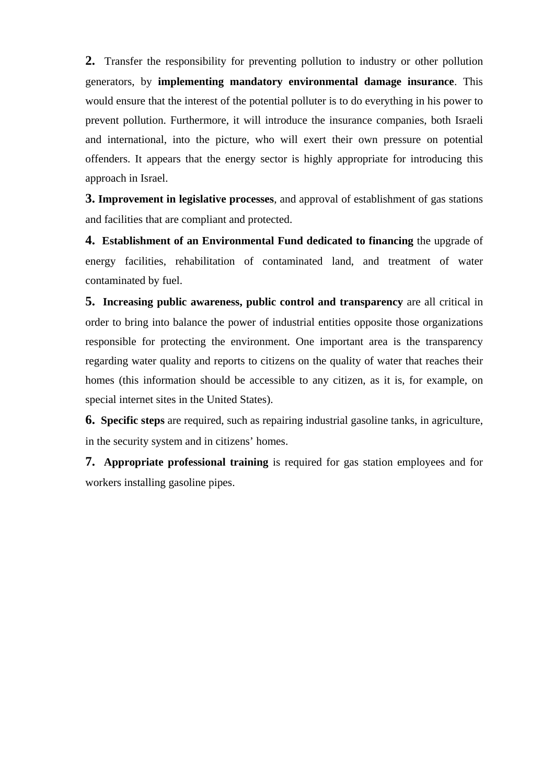**2.** Transfer the responsibility for preventing pollution to industry or other pollution generators, by **implementing mandatory environmental damage insurance**. This would ensure that the interest of the potential polluter is to do everything in his power to prevent pollution. Furthermore, it will introduce the insurance companies, both Israeli and international, into the picture, who will exert their own pressure on potential offenders. It appears that the energy sector is highly appropriate for introducing this approach in Israel.

**3. Improvement in legislative processes**, and approval of establishment of gas stations and facilities that are compliant and protected.

**4. Establishment of an Environmental Fund dedicated to financing** the upgrade of energy facilities, rehabilitation of contaminated land, and treatment of water contaminated by fuel.

**5. Increasing public awareness, public control and transparency** are all critical in order to bring into balance the power of industrial entities opposite those organizations responsible for protecting the environment. One important area is the transparency regarding water quality and reports to citizens on the quality of water that reaches their homes (this information should be accessible to any citizen, as it is, for example, on special internet sites in the United States).

**6. Specific steps** are required, such as repairing industrial gasoline tanks, in agriculture, in the security system and in citizens' homes.

**7. Appropriate professional training** is required for gas station employees and for workers installing gasoline pipes.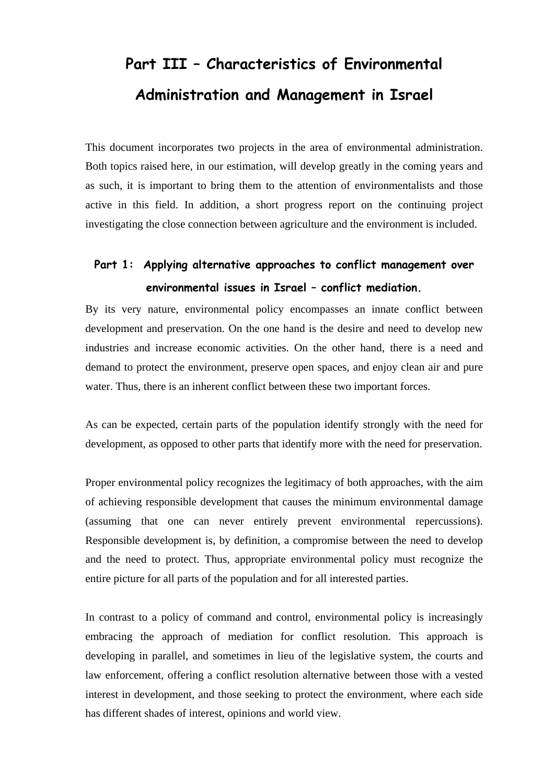# **Part III – Characteristics of Environmental Administration and Management in Israel**

This document incorporates two projects in the area of environmental administration. Both topics raised here, in our estimation, will develop greatly in the coming years and as such, it is important to bring them to the attention of environmentalists and those active in this field. In addition, a short progress report on the continuing project investigating the close connection between agriculture and the environment is included.

## **Part 1: Applying alternative approaches to conflict management over environmental issues in Israel – conflict mediation.**

By its very nature, environmental policy encompasses an innate conflict between development and preservation. On the one hand is the desire and need to develop new industries and increase economic activities. On the other hand, there is a need and demand to protect the environment, preserve open spaces, and enjoy clean air and pure water. Thus, there is an inherent conflict between these two important forces.

As can be expected, certain parts of the population identify strongly with the need for development, as opposed to other parts that identify more with the need for preservation.

Proper environmental policy recognizes the legitimacy of both approaches, with the aim of achieving responsible development that causes the minimum environmental damage (assuming that one can never entirely prevent environmental repercussions). Responsible development is, by definition, a compromise between the need to develop and the need to protect. Thus, appropriate environmental policy must recognize the entire picture for all parts of the population and for all interested parties.

In contrast to a policy of command and control, environmental policy is increasingly embracing the approach of mediation for conflict resolution. This approach is developing in parallel, and sometimes in lieu of the legislative system, the courts and law enforcement, offering a conflict resolution alternative between those with a vested interest in development, and those seeking to protect the environment, where each side has different shades of interest, opinions and world view.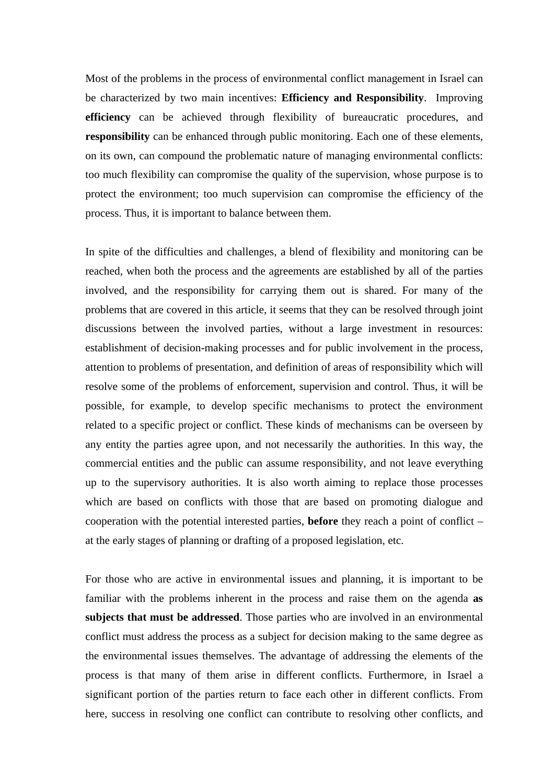Most of the problems in the process of environmental conflict management in Israel can be characterized by two main incentives: **Efficiency and Responsibility**. Improving **efficiency** can be achieved through flexibility of bureaucratic procedures, and **responsibility** can be enhanced through public monitoring. Each one of these elements, on its own, can compound the problematic nature of managing environmental conflicts: too much flexibility can compromise the quality of the supervision, whose purpose is to protect the environment; too much supervision can compromise the efficiency of the process. Thus, it is important to balance between them.

In spite of the difficulties and challenges, a blend of flexibility and monitoring can be reached, when both the process and the agreements are established by all of the parties involved, and the responsibility for carrying them out is shared. For many of the problems that are covered in this article, it seems that they can be resolved through joint discussions between the involved parties, without a large investment in resources: establishment of decision-making processes and for public involvement in the process, attention to problems of presentation, and definition of areas of responsibility which will resolve some of the problems of enforcement, supervision and control. Thus, it will be possible, for example, to develop specific mechanisms to protect the environment related to a specific project or conflict. These kinds of mechanisms can be overseen by any entity the parties agree upon, and not necessarily the authorities. In this way, the commercial entities and the public can assume responsibility, and not leave everything up to the supervisory authorities. It is also worth aiming to replace those processes which are based on conflicts with those that are based on promoting dialogue and cooperation with the potential interested parties, **before** they reach a point of conflict – at the early stages of planning or drafting of a proposed legislation, etc.

For those who are active in environmental issues and planning, it is important to be familiar with the problems inherent in the process and raise them on the agenda **as subjects that must be addressed**. Those parties who are involved in an environmental conflict must address the process as a subject for decision making to the same degree as the environmental issues themselves. The advantage of addressing the elements of the process is that many of them arise in different conflicts. Furthermore, in Israel a significant portion of the parties return to face each other in different conflicts. From here, success in resolving one conflict can contribute to resolving other conflicts, and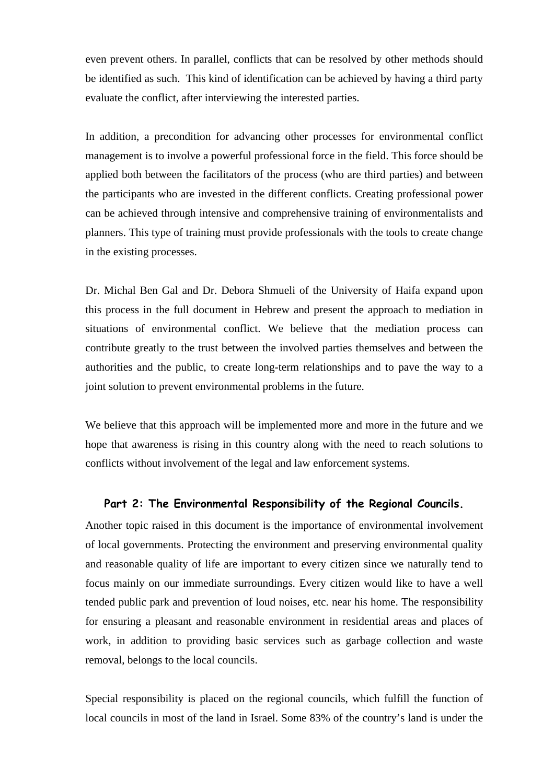even prevent others. In parallel, conflicts that can be resolved by other methods should be identified as such. This kind of identification can be achieved by having a third party evaluate the conflict, after interviewing the interested parties.

In addition, a precondition for advancing other processes for environmental conflict management is to involve a powerful professional force in the field. This force should be applied both between the facilitators of the process (who are third parties) and between the participants who are invested in the different conflicts. Creating professional power can be achieved through intensive and comprehensive training of environmentalists and planners. This type of training must provide professionals with the tools to create change in the existing processes.

Dr. Michal Ben Gal and Dr. Debora Shmueli of the University of Haifa expand upon this process in the full document in Hebrew and present the approach to mediation in situations of environmental conflict. We believe that the mediation process can contribute greatly to the trust between the involved parties themselves and between the authorities and the public, to create long-term relationships and to pave the way to a joint solution to prevent environmental problems in the future.

We believe that this approach will be implemented more and more in the future and we hope that awareness is rising in this country along with the need to reach solutions to conflicts without involvement of the legal and law enforcement systems.

#### **Part 2: The Environmental Responsibility of the Regional Councils.**

Another topic raised in this document is the importance of environmental involvement of local governments. Protecting the environment and preserving environmental quality and reasonable quality of life are important to every citizen since we naturally tend to focus mainly on our immediate surroundings. Every citizen would like to have a well tended public park and prevention of loud noises, etc. near his home. The responsibility for ensuring a pleasant and reasonable environment in residential areas and places of work, in addition to providing basic services such as garbage collection and waste removal, belongs to the local councils.

Special responsibility is placed on the regional councils, which fulfill the function of local councils in most of the land in Israel. Some 83% of the country's land is under the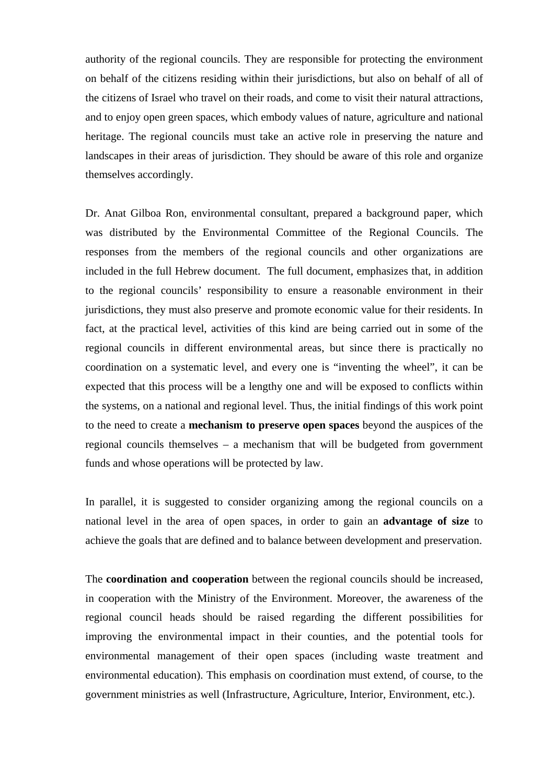authority of the regional councils. They are responsible for protecting the environment on behalf of the citizens residing within their jurisdictions, but also on behalf of all of the citizens of Israel who travel on their roads, and come to visit their natural attractions, and to enjoy open green spaces, which embody values of nature, agriculture and national heritage. The regional councils must take an active role in preserving the nature and landscapes in their areas of jurisdiction. They should be aware of this role and organize themselves accordingly.

Dr. Anat Gilboa Ron, environmental consultant, prepared a background paper, which was distributed by the Environmental Committee of the Regional Councils. The responses from the members of the regional councils and other organizations are included in the full Hebrew document. The full document, emphasizes that, in addition to the regional councils' responsibility to ensure a reasonable environment in their jurisdictions, they must also preserve and promote economic value for their residents. In fact, at the practical level, activities of this kind are being carried out in some of the regional councils in different environmental areas, but since there is practically no coordination on a systematic level, and every one is "inventing the wheel", it can be expected that this process will be a lengthy one and will be exposed to conflicts within the systems, on a national and regional level. Thus, the initial findings of this work point to the need to create a **mechanism to preserve open spaces** beyond the auspices of the regional councils themselves – a mechanism that will be budgeted from government funds and whose operations will be protected by law.

In parallel, it is suggested to consider organizing among the regional councils on a national level in the area of open spaces, in order to gain an **advantage of size** to achieve the goals that are defined and to balance between development and preservation.

The **coordination and cooperation** between the regional councils should be increased, in cooperation with the Ministry of the Environment. Moreover, the awareness of the regional council heads should be raised regarding the different possibilities for improving the environmental impact in their counties, and the potential tools for environmental management of their open spaces (including waste treatment and environmental education). This emphasis on coordination must extend, of course, to the government ministries as well (Infrastructure, Agriculture, Interior, Environment, etc.).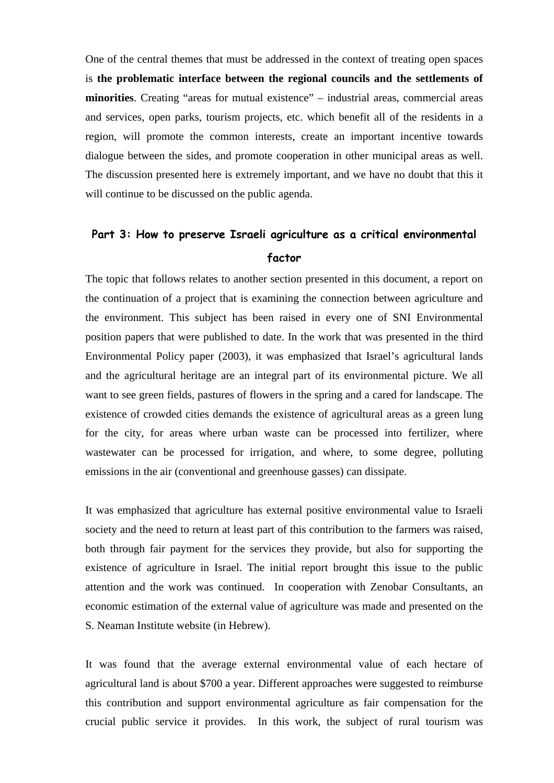One of the central themes that must be addressed in the context of treating open spaces is **the problematic interface between the regional councils and the settlements of minorities**. Creating "areas for mutual existence" – industrial areas, commercial areas and services, open parks, tourism projects, etc. which benefit all of the residents in a region, will promote the common interests, create an important incentive towards dialogue between the sides, and promote cooperation in other municipal areas as well. The discussion presented here is extremely important, and we have no doubt that this it will continue to be discussed on the public agenda.

### **Part 3: How to preserve Israeli agriculture as a critical environmental factor**

The topic that follows relates to another section presented in this document, a report on the continuation of a project that is examining the connection between agriculture and the environment. This subject has been raised in every one of SNI Environmental position papers that were published to date. In the work that was presented in the third Environmental Policy paper (2003), it was emphasized that Israel's agricultural lands and the agricultural heritage are an integral part of its environmental picture. We all want to see green fields, pastures of flowers in the spring and a cared for landscape. The existence of crowded cities demands the existence of agricultural areas as a green lung for the city, for areas where urban waste can be processed into fertilizer, where wastewater can be processed for irrigation, and where, to some degree, polluting emissions in the air (conventional and greenhouse gasses) can dissipate.

It was emphasized that agriculture has external positive environmental value to Israeli society and the need to return at least part of this contribution to the farmers was raised, both through fair payment for the services they provide, but also for supporting the existence of agriculture in Israel. The initial report brought this issue to the public attention and the work was continued. In cooperation with Zenobar Consultants, an economic estimation of the external value of agriculture was made and presented on the S. Neaman Institute website (in Hebrew).

It was found that the average external environmental value of each hectare of agricultural land is about \$700 a year. Different approaches were suggested to reimburse this contribution and support environmental agriculture as fair compensation for the crucial public service it provides. In this work, the subject of rural tourism was